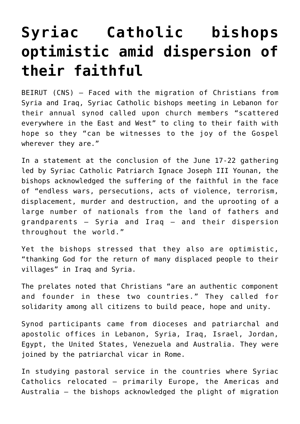## **[Syriac Catholic bishops](https://www.osvnews.com/2019/06/24/syriac-catholic-bishops-optimistic-amid-dispersion-of-their-faithful/) [optimistic amid dispersion of](https://www.osvnews.com/2019/06/24/syriac-catholic-bishops-optimistic-amid-dispersion-of-their-faithful/) [their faithful](https://www.osvnews.com/2019/06/24/syriac-catholic-bishops-optimistic-amid-dispersion-of-their-faithful/)**

BEIRUT (CNS) — Faced with the migration of Christians from Syria and Iraq, Syriac Catholic bishops meeting in Lebanon for their annual synod called upon church members "scattered everywhere in the East and West" to cling to their faith with hope so they "can be witnesses to the joy of the Gospel wherever they are."

In a statement at the conclusion of the June 17-22 gathering led by Syriac Catholic Patriarch Ignace Joseph III Younan, the bishops acknowledged the suffering of the faithful in the face of "endless wars, persecutions, acts of violence, terrorism, displacement, murder and destruction, and the uprooting of a large number of nationals from the land of fathers and grandparents — Syria and Iraq — and their dispersion throughout the world."

Yet the bishops stressed that they also are optimistic, "thanking God for the return of many displaced people to their villages" in Iraq and Syria.

The prelates noted that Christians "are an authentic component and founder in these two countries." They called for solidarity among all citizens to build peace, hope and unity.

Synod participants came from dioceses and patriarchal and apostolic offices in Lebanon, Syria, Iraq, Israel, Jordan, Egypt, the United States, Venezuela and Australia. They were joined by the patriarchal vicar in Rome.

In studying pastoral service in the countries where Syriac Catholics relocated — primarily Europe, the Americas and Australia — the bishops acknowledged the plight of migration